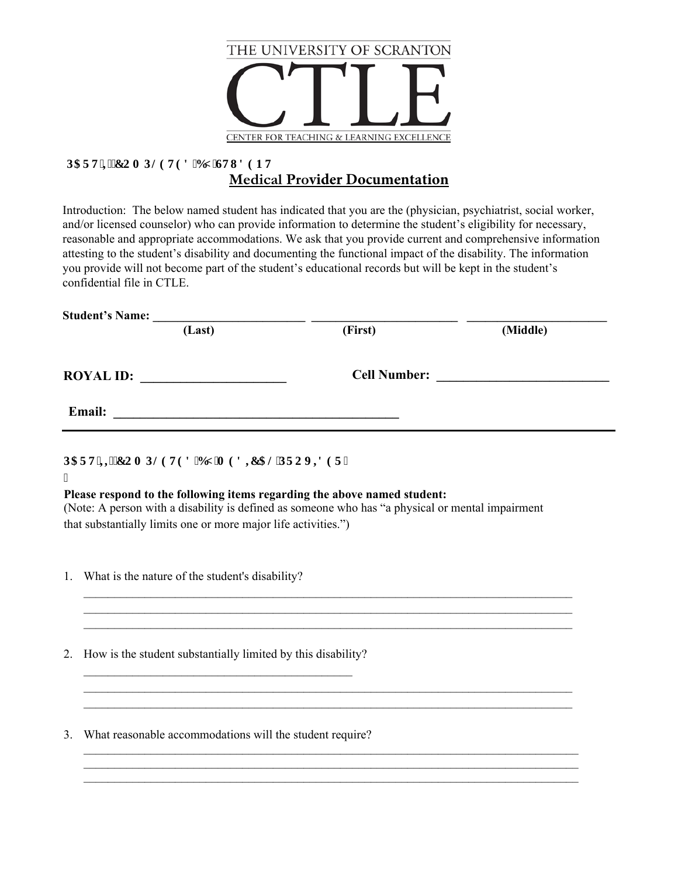

## **3 SETV'KEQO RNGVGF'D[ 'UVWF GP V Medical Provider Documentation**

Introduction: The below named student has indicated that you are the (physician, psychiatrist, social worker, and/or licensed counselor) who can provide information to determine the student's eligibility for necessary, reasonable and appropriate accommodations. We ask that you provide current and comprehensive information attesting to the student's disability and documenting the functional impact of the disability. The information you provide will not become part of the student's educational records but will be kept in the student's confidential file in CTLE.

| <b>Student's Name:</b> |                     |          |
|------------------------|---------------------|----------|
| (Last)                 | (First)             | (Middle) |
|                        |                     |          |
| <b>ROYAL ID:</b>       | <b>Cell Number:</b> |          |
|                        |                     |          |
| Email:                 |                     |          |
|                        |                     |          |

## **3 ACTV'NGEQO RNGVGF'D['O GF NE CN'RTQXNFGT''**

## **Please respond to the following items regarding the above named student:**

(Note: A person with a disability is defined as someone who has "a physical or mental impairment that substantially limits one or more major life activities.")

 $\mathcal{L}_\text{max}$ 

 $\mathcal{L}_\mathcal{L} = \{ \mathcal{L}_\mathcal{L} = \{ \mathcal{L}_\mathcal{L} = \{ \mathcal{L}_\mathcal{L} = \{ \mathcal{L}_\mathcal{L} = \{ \mathcal{L}_\mathcal{L} = \{ \mathcal{L}_\mathcal{L} = \{ \mathcal{L}_\mathcal{L} = \{ \mathcal{L}_\mathcal{L} = \{ \mathcal{L}_\mathcal{L} = \{ \mathcal{L}_\mathcal{L} = \{ \mathcal{L}_\mathcal{L} = \{ \mathcal{L}_\mathcal{L} = \{ \mathcal{L}_\mathcal{L} = \{ \mathcal{L}_\mathcal{$ \_\_\_\_\_\_\_\_\_\_\_\_\_\_\_\_\_\_\_\_\_\_\_\_\_\_\_\_\_\_\_\_\_\_\_\_\_\_\_\_\_\_\_\_\_\_\_\_\_\_\_\_\_\_\_\_\_\_\_\_\_\_\_\_\_\_\_\_\_\_\_\_\_\_\_\_\_\_\_\_

 $\mathcal{L}_\mathcal{L} = \{ \mathcal{L}_\mathcal{L} = \{ \mathcal{L}_\mathcal{L} = \{ \mathcal{L}_\mathcal{L} = \{ \mathcal{L}_\mathcal{L} = \{ \mathcal{L}_\mathcal{L} = \{ \mathcal{L}_\mathcal{L} = \{ \mathcal{L}_\mathcal{L} = \{ \mathcal{L}_\mathcal{L} = \{ \mathcal{L}_\mathcal{L} = \{ \mathcal{L}_\mathcal{L} = \{ \mathcal{L}_\mathcal{L} = \{ \mathcal{L}_\mathcal{L} = \{ \mathcal{L}_\mathcal{L} = \{ \mathcal{L}_\mathcal{$  $\mathcal{L}_\text{max}$ 

 $\_$  $\_$  $\_$ 

1. What is the nature of the student's disability?

 $\mathbf{u}$ 

- 2. How is the student substantially limited by this disability?
- 3. What reasonable accommodations will the student require?